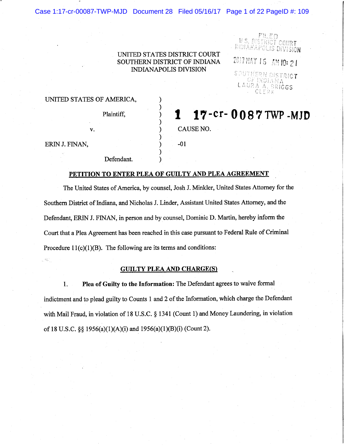# UNITED STATES DISTRICT COURT SOUTHERN DISTRICT OF INDIANA **INDIANAPOLIS DIVISION**

 $\mathcal{E}$ 

 $\mathcal{Y}$ 

)

 $\mathcal{E}$ 

1

 $-01$ 

CAUSE NO.

2017 MAY 16 AM 10: 21

<u>NGT COURT</u> IS DIVISION

SOUTHERN DISTRICT f Indian, LAURA A. BRICGS CLERK

17-cr-0087 TWP-MJD

# UNITED STATES OF AMERICA,

v.

Plaintiff.

ERIN J. FINAN,

, 45

Defendant.

# PETITION TO ENTER PLEA OF GUILTY AND PLEA AGREEMENT

The United States of America, by counsel, Josh J. Minkler, United States Attorney for the Southern District of Indiana, and Nicholas J. Linder, Assistant United States Attorney, and the Defendant, ERIN J. FINAN, in person and by counsel, Dominic D. Martin, hereby inform the Court that a Plea Agreement has been reached in this case pursuant to Federal Rule of Criminal Procedure  $11(c)(1)(B)$ . The following are its terms and conditions:

## **GUILTY PLEA AND CHARGE(S)**

Plea of Guilty to the Information: The Defendant agrees to waive formal 1. indictment and to plead guilty to Counts 1 and 2 of the Information, which charge the Defendant with Mail Fraud, in violation of 18 U.S.C. § 1341 (Count 1) and Money Laundering, in violation of 18 U.S.C. §§ 1956(a)(1)(A)(i) and 1956(a)(1)(B)(i) (Count 2).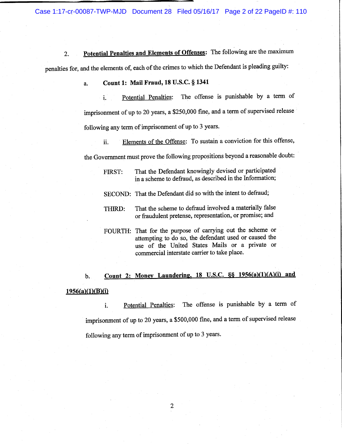Case 1:17-cr-00087-TWP-MJD Document 28 Filed 05/16/17 Page 2 of 22 PageID #: 110

Potential Penalties and Elements of Offenses: The following are the maximum  $2.$ penalties for, and the elements of, each of the crimes to which the Defendant is pleading guilty:

#### Count 1: Mail Fraud, 18 U.S.C. § 1341 a.

The offense is punishable by a term of Potential Penalties:  $\mathbf{i}$ . imprisonment of up to 20 years, a \$250,000 fine, and a term of supervised release following any term of imprisonment of up to 3 years.

Elements of the Offense: To sustain a conviction for this offense, ii. the Government must prove the following propositions beyond a reasonable doubt:

That the Defendant knowingly devised or participated FIRST: in a scheme to defraud, as described in the Information; SECOND: That the Defendant did so with the intent to defraud;

That the scheme to defraud involved a materially false THIRD: or fraudulent pretense, representation, or promise; and

# Count 2: Money Laundering, 18 U.S.C. §§ 1956(a)(1)(A)(i) and **.**  $1956(a)(1)(B)(i)$

The offense is punishable by a term of Potential Penalties: i. imprisonment of up to 20 years, a \$500,000 fine, and a term of supervised release following any term of imprisonment of up to 3 years.

 $\overline{2}$ 

FOURTH: That for the purpose of carrying out the scheme or attempting to do so, the defendant used or caused the use of the United States Mails or a private or commercial interstate carrier to take place.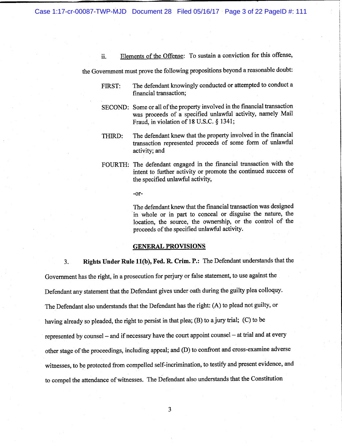Case 1:17-cr-00087-TWP-MJD Document 28 Filed 05/16/17 Page 3 of 22 PageID #: 111

Elements of the Offense: To sustain a conviction for this offense,  $ii.$ 

the Government must prove the following propositions beyond a reasonable doubt:

- The defendant knowingly conducted or attempted to conduct a FIRST: financial transaction;
- SECOND: Some or all of the property involved in the financial transaction was proceeds of a specified unlawful activity, namely Mail Fraud, in violation of 18 U.S.C. § 1341;
- The defendant knew that the property involved in the financial THIRD: transaction represented proceeds of some form of unlawful activity; and
- FOURTH: The defendant engaged in the financial transaction with the intent to further activity or promote the continued success of the specified unlawful activity,

-or-

The defendant knew that the financial transaction was designed in whole or in part to conceal or disguise the nature, the location, the source, the ownership, or the control of the proceeds of the specified unlawful activity.

#### **GENERAL PROVISIONS**

Rights Under Rule 11(b), Fed. R. Crim. P.: The Defendant understands that the  $3.$ Government has the right, in a prosecution for perjury or false statement, to use against the Defendant any statement that the Defendant gives under oath during the guilty plea colloquy. The Defendant also understands that the Defendant has the right: (A) to plead not guilty, or having already so pleaded, the right to persist in that plea; (B) to a jury trial; (C) to be represented by counsel – and if necessary have the court appoint counsel – at trial and at every other stage of the proceedings, including appeal; and (D) to confront and cross-examine adverse witnesses, to be protected from compelled self-incrimination, to testify and present evidence, and to compel the attendance of witnesses. The Defendant also understands that the Constitution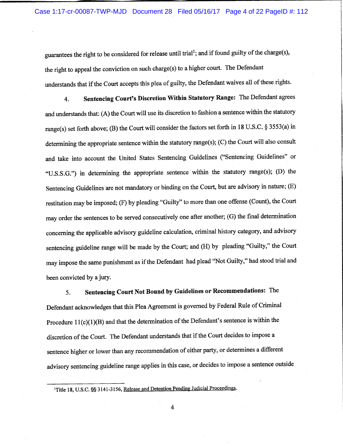guarantees the right to be considered for release until trial<sup>1</sup>; and if found guilty of the charge(s), the right to appeal the conviction on such charge(s) to a higher court. The Defendant understands that if the Court accepts this plea of guilty, the Defendant waives all of these rights.

Sentencing Court's Discretion Within Statutory Range: The Defendant agrees 4. and understands that: (A) the Court will use its discretion to fashion a sentence within the statutory range(s) set forth above; (B) the Court will consider the factors set forth in 18 U.S.C. § 3553(a) in determining the appropriate sentence within the statutory range(s); (C) the Court will also consult and take into account the United States Sentencing Guidelines ("Sentencing Guidelines" or "U.S.S.G.") in determining the appropriate sentence within the statutory range(s); (D) the Sentencing Guidelines are not mandatory or binding on the Court, but are advisory in nature; (E) restitution may be imposed; (F) by pleading "Guilty" to more than one offense (Count), the Court may order the sentences to be served consecutively one after another; (G) the final determination concerning the applicable advisory guideline calculation, criminal history category, and advisory sentencing guideline range will be made by the Court; and (H) by pleading "Guilty," the Court may impose the same punishment as if the Defendant had plead "Not Guilty," had stood trial and been convicted by a jury.

Sentencing Court Not Bound by Guidelines or Recommendations: The 5. Defendant acknowledges that this Plea Agreement is governed by Federal Rule of Criminal Procedure  $11(c)(1)(B)$  and that the determination of the Defendant's sentence is within the discretion of the Court. The Defendant understands that if the Court decides to impose a sentence higher or lower than any recommendation of either party, or determines a different advisory sentencing guideline range applies in this case, or decides to impose a sentence outside

 $\overline{4}$ 

<sup>&</sup>lt;sup>1</sup>Title 18, U.S.C. §§ 3141-3156, Release and Detention Pending Judicial Proceedings.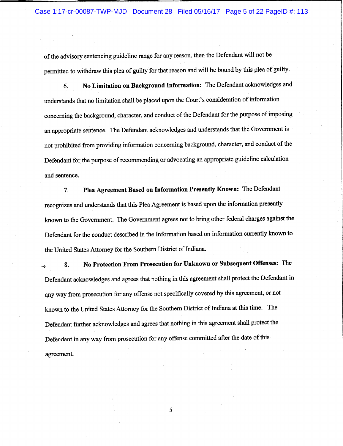of the advisory sentencing guideline range for any reason, then the Defendant will not be permitted to withdraw this plea of guilty for that reason and will be bound by this plea of guilty.

No Limitation on Background Information: The Defendant acknowledges and 6. understands that no limitation shall be placed upon the Court's consideration of information concerning the background, character, and conduct of the Defendant for the purpose of imposing an appropriate sentence. The Defendant acknowledges and understands that the Government is not prohibited from providing information concerning background, character, and conduct of the Defendant for the purpose of recommending or advocating an appropriate guideline calculation and sentence.

Plea Agreement Based on Information Presently Known: The Defendant 7. recognizes and understands that this Plea Agreement is based upon the information presently known to the Government. The Government agrees not to bring other federal charges against the Defendant for the conduct described in the Information based on information currently known to the United States Attorney for the Southern District of Indiana.

No Protection From Prosecution for Unknown or Subsequent Offenses: The 8. Defendant acknowledges and agrees that nothing in this agreement shall protect the Defendant in any way from prosecution for any offense not specifically covered by this agreement, or not known to the United States Attorney for the Southern District of Indiana at this time. The Defendant further acknowledges and agrees that nothing in this agreement shall protect the Defendant in any way from prosecution for any offense committed after the date of this agreement.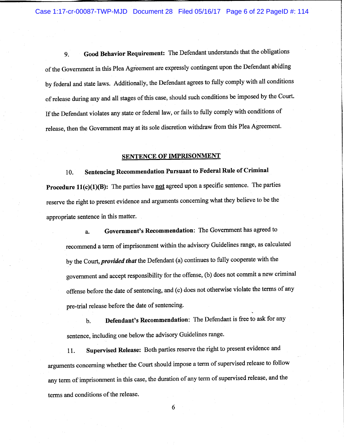Case 1:17-cr-00087-TWP-MJD Document 28 Filed 05/16/17 Page 6 of 22 PageID #: 114

Good Behavior Requirement: The Defendant understands that the obligations 9. of the Government in this Plea Agreement are expressly contingent upon the Defendant abiding by federal and state laws. Additionally, the Defendant agrees to fully comply with all conditions of release during any and all stages of this case, should such conditions be imposed by the Court. If the Defendant violates any state or federal law, or fails to fully comply with conditions of release, then the Government may at its sole discretion withdraw from this Plea Agreement.

#### **SENTENCE OF IMPRISONMENT**

Sentencing Recommendation Pursuant to Federal Rule of Criminal 10. **Procedure 11(c)(1)(B):** The parties have not agreed upon a specific sentence. The parties reserve the right to present evidence and arguments concerning what they believe to be the appropriate sentence in this matter.

Government's Recommendation: The Government has agreed to a. recommend a term of imprisonment within the advisory Guidelines range, as calculated by the Court, *provided that* the Defendant (a) continues to fully cooperate with the government and accept responsibility for the offense, (b) does not commit a new criminal offense before the date of sentencing, and (c) does not otherwise violate the terms of any pre-trial release before the date of sentencing.

Defendant's Recommendation: The Defendant is free to ask for any  $\mathbf{b}$ . sentence, including one below the advisory Guidelines range.

Supervised Release: Both parties reserve the right to present evidence and 11. arguments concerning whether the Court should impose a term of supervised release to follow any term of imprisonment in this case, the duration of any term of supervised release, and the terms and conditions of the release.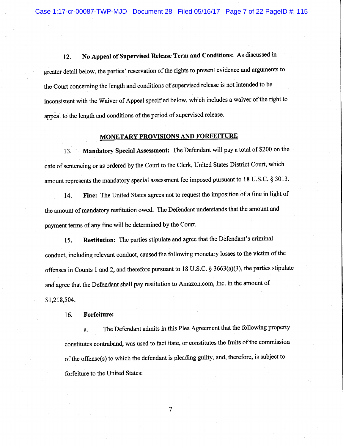No Appeal of Supervised Release Term and Conditions: As discussed in 12. greater detail below, the parties' reservation of the rights to present evidence and arguments to the Court concerning the length and conditions of supervised release is not intended to be inconsistent with the Waiver of Appeal specified below, which includes a waiver of the right to appeal to the length and conditions of the period of supervised release.

### MONETARY PROVISIONS AND FORFEITURE

Mandatory Special Assessment: The Defendant will pay a total of \$200 on the 13. date of sentencing or as ordered by the Court to the Clerk, United States District Court, which amount represents the mandatory special assessment fee imposed pursuant to 18 U.S.C. § 3013.

Fine: The United States agrees not to request the imposition of a fine in light of 14. the amount of mandatory restitution owed. The Defendant understands that the amount and payment terms of any fine will be determined by the Court.

Restitution: The parties stipulate and agree that the Defendant's criminal 15. conduct, including relevant conduct, caused the following monetary losses to the victim of the offenses in Counts 1 and 2, and therefore pursuant to 18 U.S.C. § 3663(a)(3), the parties stipulate and agree that the Defendant shall pay restitution to Amazon.com, Inc. in the amount of \$1,218,504.

**Forfeiture:** 16.

The Defendant admits in this Plea Agreement that the following property a. constitutes contraband, was used to facilitate, or constitutes the fruits of the commission of the offense(s) to which the defendant is pleading guilty, and, therefore, is subject to forfeiture to the United States:

 $\overline{7}$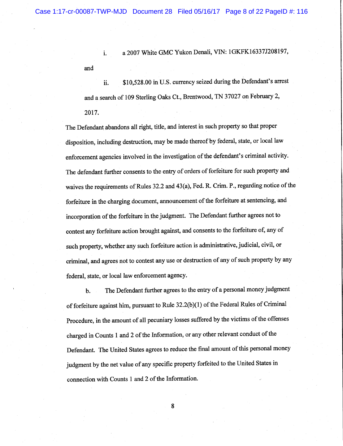and

a 2007 White GMC Yukon Denali, VIN: 1GKFK16337J208197,  $\mathbf{i}$ .

\$10,528.00 in U.S. currency seized during the Defendant's arrest ii. and a search of 109 Sterling Oaks Ct., Brentwood, TN 37027 on February 2, 2017.

The Defendant abandons all right, title, and interest in such property so that proper disposition, including destruction, may be made thereof by federal, state, or local law enforcement agencies involved in the investigation of the defendant's criminal activity. The defendant further consents to the entry of orders of forfeiture for such property and waives the requirements of Rules 32.2 and 43(a), Fed. R. Crim. P., regarding notice of the forfeiture in the charging document, announcement of the forfeiture at sentencing, and incorporation of the forfeiture in the judgment. The Defendant further agrees not to contest any forfeiture action brought against, and consents to the forfeiture of, any of such property, whether any such forfeiture action is administrative, judicial, civil, or criminal, and agrees not to contest any use or destruction of any of such property by any federal, state, or local law enforcement agency.

The Defendant further agrees to the entry of a personal money judgment  $\mathbf b$ . of forfeiture against him, pursuant to Rule 32.2(b)(1) of the Federal Rules of Criminal Procedure, in the amount of all pecuniary losses suffered by the victims of the offenses charged in Counts 1 and 2 of the Information, or any other relevant conduct of the Defendant. The United States agrees to reduce the final amount of this personal money judgment by the net value of any specific property forfeited to the United States in connection with Counts 1 and 2 of the Information.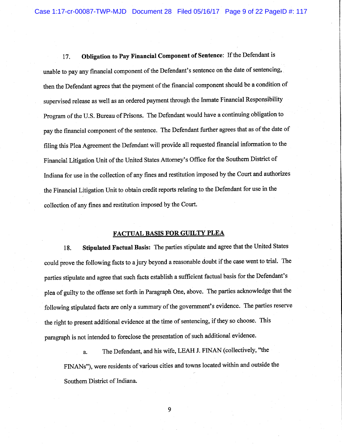Obligation to Pay Financial Component of Sentence: If the Defendant is 17. unable to pay any financial component of the Defendant's sentence on the date of sentencing, then the Defendant agrees that the payment of the financial component should be a condition of supervised release as well as an ordered payment through the Inmate Financial Responsibility Program of the U.S. Bureau of Prisons. The Defendant would have a continuing obligation to pay the financial component of the sentence. The Defendant further agrees that as of the date of filing this Plea Agreement the Defendant will provide all requested financial information to the Financial Litigation Unit of the United States Attorney's Office for the Southern District of Indiana for use in the collection of any fines and restitution imposed by the Court and authorizes the Financial Litigation Unit to obtain credit reports relating to the Defendant for use in the collection of any fines and restitution imposed by the Court.

# **FACTUAL BASIS FOR GUILTY PLEA**

Stipulated Factual Basis: The parties stipulate and agree that the United States 18. could prove the following facts to a jury beyond a reasonable doubt if the case went to trial. The parties stipulate and agree that such facts establish a sufficient factual basis for the Defendant's plea of guilty to the offense set forth in Paragraph One, above. The parties acknowledge that the following stipulated facts are only a summary of the government's evidence. The parties reserve the right to present additional evidence at the time of sentencing, if they so choose. This paragraph is not intended to foreclose the presentation of such additional evidence.

The Defendant, and his wife, LEAH J. FINAN (collectively, "the a. FINANs"), were residents of various cities and towns located within and outside the Southern District of Indiana.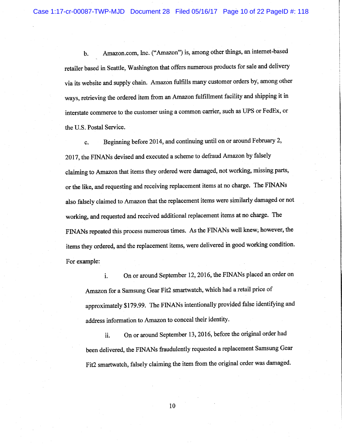Amazon.com, Inc. ("Amazon") is, among other things, an internet-based  $<sub>b</sub>$ </sub> retailer based in Seattle, Washington that offers numerous products for sale and delivery via its website and supply chain. Amazon fulfills many customer orders by, among other ways, retrieving the ordered item from an Amazon fulfillment facility and shipping it in interstate commerce to the customer using a common carrier, such as UPS or FedEx, or the U.S. Postal Service.

Beginning before 2014, and continuing until on or around February 2, c. 2017, the FINANs devised and executed a scheme to defraud Amazon by falsely claiming to Amazon that items they ordered were damaged, not working, missing parts, or the like, and requesting and receiving replacement items at no charge. The FINANs also falsely claimed to Amazon that the replacement items were similarly damaged or not working, and requested and received additional replacement items at no charge. The FINANs repeated this process numerous times. As the FINANs well knew, however, the items they ordered, and the replacement items, were delivered in good working condition. For example:

On or around September 12, 2016, the FINANs placed an order on i. Amazon for a Samsung Gear Fit2 smartwatch, which had a retail price of approximately \$179.99. The FINANs intentionally provided false identifying and address information to Amazon to conceal their identity.

On or around September 13, 2016, before the original order had ii. been delivered, the FINANs fraudulently requested a replacement Samsung Gear Fit2 smartwatch, falsely claiming the item from the original order was damaged.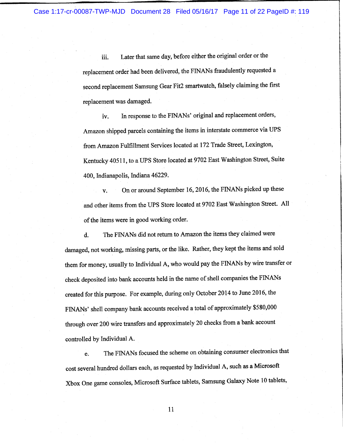Later that same day, before either the original order or the iii. replacement order had been delivered, the FINANs fraudulently requested a second replacement Samsung Gear Fit2 smartwatch, falsely claiming the first replacement was damaged.

In response to the FINANs' original and replacement orders, iv. Amazon shipped parcels containing the items in interstate commerce via UPS from Amazon Fulfillment Services located at 172 Trade Street, Lexington, Kentucky 40511, to a UPS Store located at 9702 East Washington Street, Suite 400, Indianapolis, Indiana 46229.

On or around September 16, 2016, the FINANs picked up these  $\mathbf{v}$ . and other items from the UPS Store located at 9702 East Washington Street. All of the items were in good working order.

The FINANs did not return to Amazon the items they claimed were  $\mathbf{d}$ . damaged, not working, missing parts, or the like. Rather, they kept the items and sold them for money, usually to Individual A, who would pay the FINANs by wire transfer or check deposited into bank accounts held in the name of shell companies the FINANs created for this purpose. For example, during only October 2014 to June 2016, the FINANs' shell company bank accounts received a total of approximately \$580,000 through over 200 wire transfers and approximately 20 checks from a bank account controlled by Individual A.

The FINANs focused the scheme on obtaining consumer electronics that e. cost several hundred dollars each, as requested by Individual A, such as a Microsoft Xbox One game consoles, Microsoft Surface tablets, Samsung Galaxy Note 10 tablets,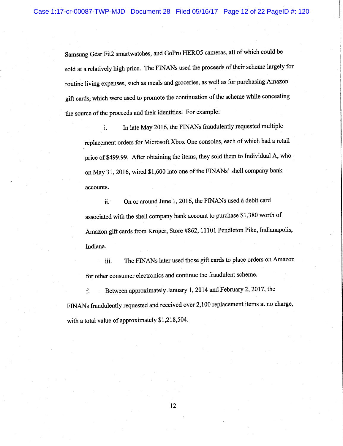Samsung Gear Fit2 smartwatches, and GoPro HERO5 cameras, all of which could be sold at a relatively high price. The FINANs used the proceeds of their scheme largely for routine living expenses, such as meals and groceries, as well as for purchasing Amazon gift cards, which were used to promote the continuation of the scheme while concealing the source of the proceeds and their identities. For example:

In late May 2016, the FINANs fraudulently requested multiple i. replacement orders for Microsoft Xbox One consoles, each of which had a retail price of \$499.99. After obtaining the items, they sold them to Individual A, who on May 31, 2016, wired \$1,600 into one of the FINANs' shell company bank accounts.

On or around June 1, 2016, the FINANs used a debit card ii. associated with the shell company bank account to purchase \$1,380 worth of Amazon gift cards from Kroger, Store #862, 11101 Pendleton Pike, Indianapolis, Indiana.

The FINANs later used those gift cards to place orders on Amazon iii. for other consumer electronics and continue the fraudulent scheme.

Between approximately January 1, 2014 and February 2, 2017, the f. FINANs fraudulently requested and received over 2,100 replacement items at no charge, with a total value of approximately \$1,218,504.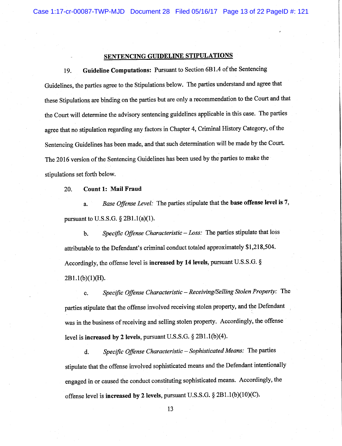# **SENTENCING GUIDELINE STIPULATIONS**

Guideline Computations: Pursuant to Section 6B1.4 of the Sentencing 19. Guidelines, the parties agree to the Stipulations below. The parties understand and agree that these Stipulations are binding on the parties but are only a recommendation to the Court and that the Court will determine the advisory sentencing guidelines applicable in this case. The parties agree that no stipulation regarding any factors in Chapter 4, Criminal History Category, of the Sentencing Guidelines has been made, and that such determination will be made by the Court. The 2016 version of the Sentencing Guidelines has been used by the parties to make the stipulations set forth below.

**Count 1: Mail Fraud** 20.

Base Offense Level: The parties stipulate that the base offense level is 7, a. pursuant to U.S.S.G.  $\S$  2B1.1(a)(1).

Specific Offense Characteristic - Loss: The parties stipulate that loss  $<sub>b</sub>$ .</sub> attributable to the Defendant's criminal conduct totaled approximately \$1,218,504. Accordingly, the offense level is increased by 14 levels, pursuant U.S.S.G. §  $2B1.1(b)(1)(H)$ .

Specific Offense Characteristic - Receiving/Selling Stolen Property: The c. parties stipulate that the offense involved receiving stolen property, and the Defendant was in the business of receiving and selling stolen property. Accordingly, the offense level is increased by 2 levels, pursuant U.S.S.G. § 2B1.1(b)(4).

Specific Offense Characteristic - Sophisticated Means: The parties d. stipulate that the offense involved sophisticated means and the Defendant intentionally engaged in or caused the conduct constituting sophisticated means. Accordingly, the offense level is increased by 2 levels, pursuant U.S.S.G. § 2B1.1(b)(10)(C).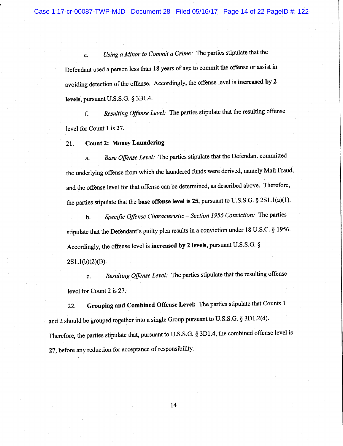Using a Minor to Commit a Crime: The parties stipulate that the e. Defendant used a person less than 18 years of age to commit the offense or assist in avoiding detection of the offense. Accordingly, the offense level is increased by 2 levels, pursuant U.S.S.G.  $\S$  3B1.4.

Resulting Offense Level: The parties stipulate that the resulting offense f. level for Count 1 is 27.

**Count 2: Money Laundering** 21.

Base Offense Level: The parties stipulate that the Defendant committed a. the underlying offense from which the laundered funds were derived, namely Mail Fraud, and the offense level for that offense can be determined, as described above. Therefore, the parties stipulate that the base offense level is 25, pursuant to U.S.S.G. § 2S1.1(a)(1).

Specific Offense Characteristic - Section 1956 Conviction: The parties  $\mathbf b$ . stipulate that the Defendant's guilty plea results in a conviction under 18 U.S.C. § 1956. Accordingly, the offense level is increased by 2 levels, pursuant U.S.S.G. §  $2S1.1(b)(2)(B).$ 

Resulting Offense Level: The parties stipulate that the resulting offense c. level for Count 2 is 27.

Grouping and Combined Offense Level: The parties stipulate that Counts 1 22. and 2 should be grouped together into a single Group pursuant to U.S.S.G. § 3D1.2(d). Therefore, the parties stipulate that, pursuant to U.S.S.G. § 3D1.4, the combined offense level is 27, before any reduction for acceptance of responsibility.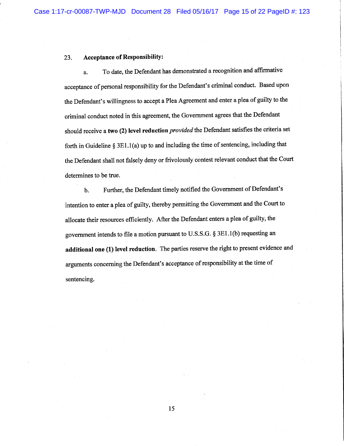#### **Acceptance of Responsibility:** 23.

To date, the Defendant has demonstrated a recognition and affirmative a. acceptance of personal responsibility for the Defendant's criminal conduct. Based upon the Defendant's willingness to accept a Plea Agreement and enter a plea of guilty to the criminal conduct noted in this agreement, the Government agrees that the Defendant should receive a two (2) level reduction *provided* the Defendant satisfies the criteria set forth in Guideline  $\S 3E1.1(a)$  up to and including the time of sentencing, including that the Defendant shall not falsely deny or frivolously contest relevant conduct that the Court determines to be true.

Further, the Defendant timely notified the Government of Defendant's b. intention to enter a plea of guilty, thereby permitting the Government and the Court to allocate their resources efficiently. After the Defendant enters a plea of guilty, the government intends to file a motion pursuant to U.S.S.G. § 3E1.1(b) requesting an additional one (1) level reduction. The parties reserve the right to present evidence and arguments concerning the Defendant's acceptance of responsibility at the time of sentencing.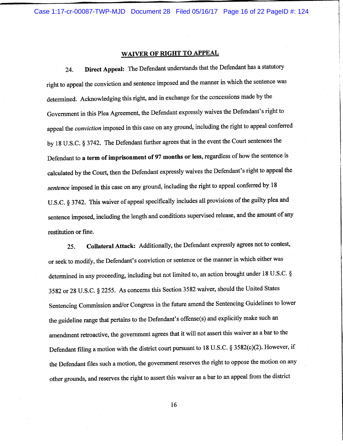Case 1:17-cr-00087-TWP-MJD Document 28 Filed 05/16/17 Page 16 of 22 PageID #: 124

### **WAIVER OF RIGHT TO APPEAL**

Direct Appeal: The Defendant understands that the Defendant has a statutory 24. right to appeal the conviction and sentence imposed and the manner in which the sentence was determined. Acknowledging this right, and in exchange for the concessions made by the Government in this Plea Agreement, the Defendant expressly waives the Defendant's right to appeal the conviction imposed in this case on any ground, including the right to appeal conferred by 18 U.S.C. § 3742. The Defendant further agrees that in the event the Court sentences the Defendant to a term of imprisonment of 97 months or less, regardless of how the sentence is calculated by the Court, then the Defendant expressly waives the Defendant's right to appeal the sentence imposed in this case on any ground, including the right to appeal conferred by 18 U.S.C. § 3742. This waiver of appeal specifically includes all provisions of the guilty plea and sentence imposed, including the length and conditions supervised release, and the amount of any restitution or fine.

Collateral Attack: Additionally, the Defendant expressly agrees not to contest, 25. or seek to modify, the Defendant's conviction or sentence or the manner in which either was determined in any proceeding, including but not limited to, an action brought under 18 U.S.C. § 3582 or 28 U.S.C. § 2255. As concerns this Section 3582 waiver, should the United States Sentencing Commission and/or Congress in the future amend the Sentencing Guidelines to lower the guideline range that pertains to the Defendant's offense(s) and explicitly make such an amendment retroactive, the government agrees that it will not assert this waiver as a bar to the Defendant filing a motion with the district court pursuant to 18 U.S.C. § 3582(c)(2). However, if the Defendant files such a motion, the government reserves the right to oppose the motion on any other grounds, and reserves the right to assert this waiver as a bar to an appeal from the district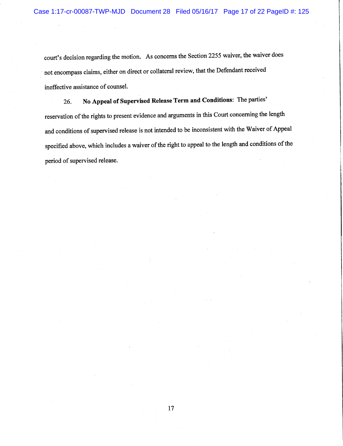court's decision regarding the motion. As concerns the Section 2255 waiver, the waiver does not encompass claims, either on direct or collateral review, that the Defendant received ineffective assistance of counsel.

No Appeal of Supervised Release Term and Conditions: The parties' 26. reservation of the rights to present evidence and arguments in this Court concerning the length and conditions of supervised release is not intended to be inconsistent with the Waiver of Appeal specified above, which includes a waiver of the right to appeal to the length and conditions of the period of supervised release.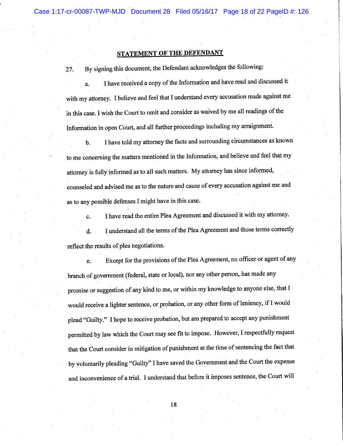# STATEMENT OF THE DEFENDANT

By signing this document, the Defendant acknowledges the following: 27.

I have received a copy of the Information and have read and discussed it a. with my attorney. I believe and feel that I understand every accusation made against me in this case. I wish the Court to omit and consider as waived by me all readings of the Information in open Court, and all further proceedings including my arraignment.

I have told my attorney the facts and surrounding circumstances as known **.** to me concerning the matters mentioned in the Information, and believe and feel that my attorney is fully informed as to all such matters. My attorney has since informed, counseled and advised me as to the nature and cause of every accusation against me and as to any possible defenses I might have in this case.

I have read the entire Plea Agreement and discussed it with my attorney. c.

I understand all the terms of the Plea Agreement and those terms correctly d. reflect the results of plea negotiations.

Except for the provisions of the Plea Agreement, no officer or agent of any e. branch of government (federal, state or local), nor any other person, has made any promise or suggestion of any kind to me, or within my knowledge to anyone else, that I would receive a lighter sentence, or probation, or any other form of leniency, if I would plead "Guilty." I hope to receive probation, but am prepared to accept any punishment permitted by law which the Court may see fit to impose. However, I respectfully request that the Court consider in mitigation of punishment at the time of sentencing the fact that by voluntarily pleading "Guilty" I have saved the Government and the Court the expense and inconvenience of a trial. I understand that before it imposes sentence, the Court will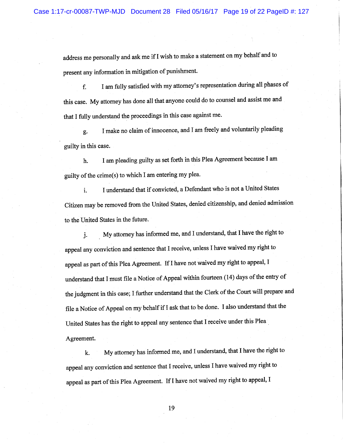address me personally and ask me if I wish to make a statement on my behalf and to present any information in mitigation of punishment.

I am fully satisfied with my attorney's representation during all phases of f. this case. My attorney has done all that anyone could do to counsel and assist me and that I fully understand the proceedings in this case against me.

I make no claim of innocence, and I am freely and voluntarily pleading g. guilty in this case.

I am pleading guilty as set forth in this Plea Agreement because I am h. guilty of the crime(s) to which I am entering my plea.

I understand that if convicted, a Defendant who is not a United States  $\mathbf{i}$ . Citizen may be removed from the United States, denied citizenship, and denied admission to the United States in the future.

My attorney has informed me, and I understand, that I have the right to j. appeal any conviction and sentence that I receive, unless I have waived my right to appeal as part of this Plea Agreement. If I have not waived my right to appeal, I understand that I must file a Notice of Appeal within fourteen (14) days of the entry of the judgment in this case; I further understand that the Clerk of the Court will prepare and file a Notice of Appeal on my behalf if I ask that to be done. I also understand that the United States has the right to appeal any sentence that I receive under this Plea Agreement.

My attorney has informed me, and I understand, that I have the right to k. appeal any conviction and sentence that I receive, unless I have waived my right to appeal as part of this Plea Agreement. If I have not waived my right to appeal, I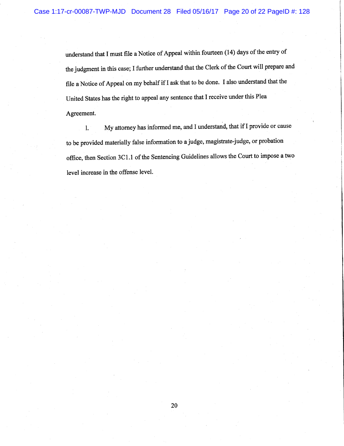understand that I must file a Notice of Appeal within fourteen (14) days of the entry of the judgment in this case; I further understand that the Clerk of the Court will prepare and file a Notice of Appeal on my behalf if I ask that to be done. I also understand that the United States has the right to appeal any sentence that I receive under this Plea Agreement.

My attorney has informed me, and I understand, that if I provide or cause  $\mathbf{1}$ . to be provided materially false information to a judge, magistrate-judge, or probation office, then Section 3C1.1 of the Sentencing Guidelines allows the Court to impose a two level increase in the offense level.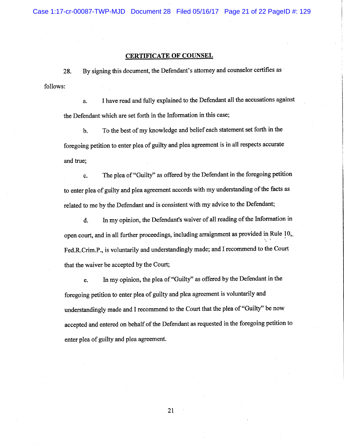Case 1:17-cr-00087-TWP-MJD Document 28 Filed 05/16/17 Page 21 of 22 PageID #: 129

## **CERTIFICATE OF COUNSEL**

By signing this document, the Defendant's attorney and counselor certifies as 28. follows:

I have read and fully explained to the Defendant all the accusations against a. the Defendant which are set forth in the Information in this case;

To the best of my knowledge and belief each statement set forth in the  $\mathbf b$ . foregoing petition to enter plea of guilty and plea agreement is in all respects accurate and true;

The plea of "Guilty" as offered by the Defendant in the foregoing petition c. to enter plea of guilty and plea agreement accords with my understanding of the facts as related to me by the Defendant and is consistent with my advice to the Defendant;

In my opinion, the Defendant's waiver of all reading of the Information in d. open court, and in all further proceedings, including arraignment as provided in Rule 10, Fed.R.Crim.P., is voluntarily and understandingly made; and I recommend to the Court that the waiver be accepted by the Court;

In my opinion, the plea of "Guilty" as offered by the Defendant in the e. foregoing petition to enter plea of guilty and plea agreement is voluntarily and understandingly made and I recommend to the Court that the plea of "Guilty" be now accepted and entered on behalf of the Defendant as requested in the foregoing petition to enter plea of guilty and plea agreement.